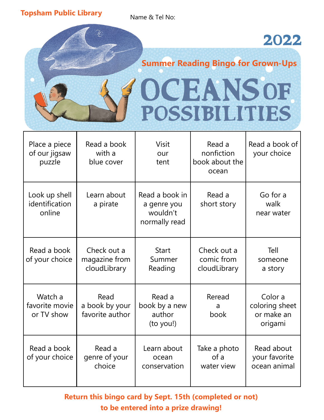**Topsham Public Library Name & Tel No:** 

 $\mathcal{I}_{\!\!\mathscr{S}}$ 

### 2022

## **Summer Reading Bingo for Grown-Ups** OCEANSOF POSSIBILITIES

| Place a piece<br>of our jigsaw<br>puzzle  | Read a book<br>with a<br>blue cover          | <b>Visit</b><br>our<br>tent                                | Read a<br>nonfiction<br>book about the<br>ocean | Read a book of<br>your choice                      |
|-------------------------------------------|----------------------------------------------|------------------------------------------------------------|-------------------------------------------------|----------------------------------------------------|
| Look up shell<br>identification<br>online | Learn about<br>a pirate                      | Read a book in<br>a genre you<br>wouldn't<br>normally read | Read a<br>short story                           | Go for a<br>walk<br>near water                     |
| Read a book<br>of your choice             | Check out a<br>magazine from<br>cloudLibrary | <b>Start</b><br>Summer<br>Reading                          | Check out a<br>comic from<br>cloudLibrary       | Tell<br>someone<br>a story                         |
| Watch a<br>favorite movie<br>or TV show   | Read<br>a book by your<br>favorite author    | Read a<br>book by a new<br>author<br>(to you!)             | Reread<br>a<br>book                             | Color a<br>coloring sheet<br>or make an<br>origami |
| Read a book<br>of your choice             | Read a<br>genre of your<br>choice            | Learn about<br>ocean<br>conservation                       | Take a photo<br>of a<br>water view              | Read about<br>your favorite<br>ocean animal        |

**Return this bingo card by Sept. 15th (completed or not) to be entered into a prize drawing!**